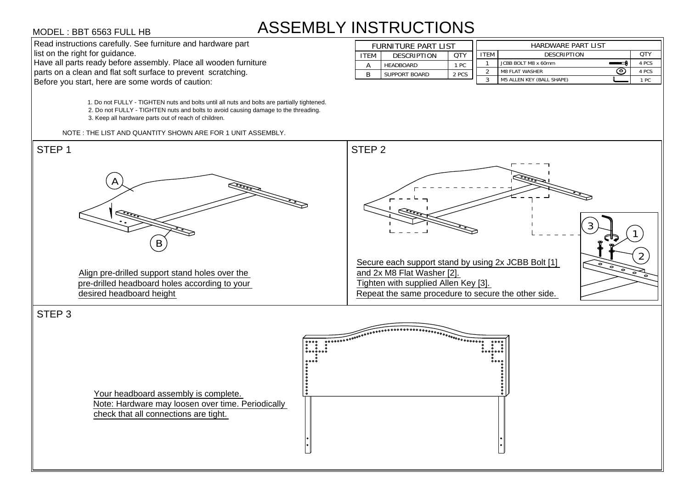## ASSEMBLY INSTRUCTIONS